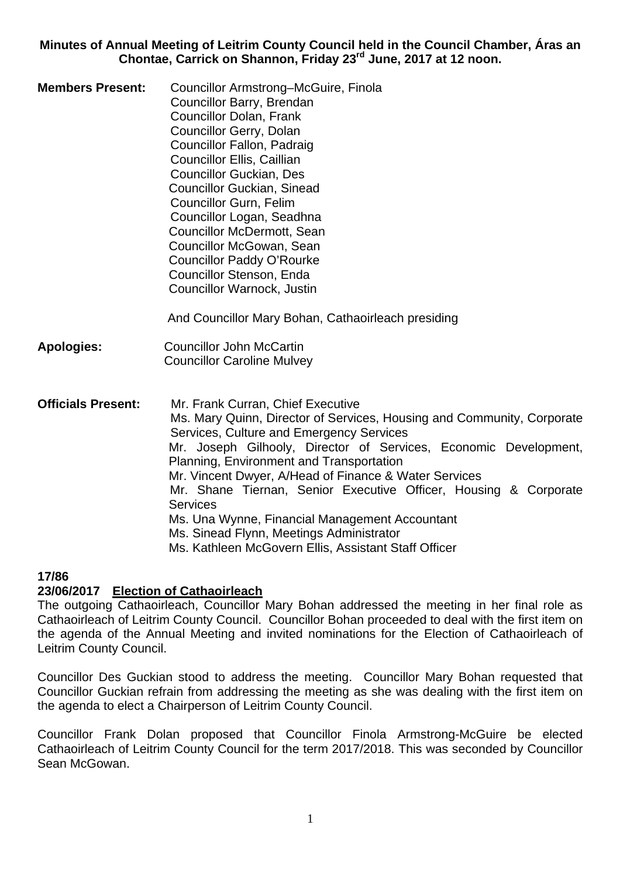**Minutes of Annual Meeting of Leitrim County Council held in the Council Chamber, Áras an Chontae, Carrick on Shannon, Friday 23rd June, 2017 at 12 noon.** 

**Members Present:** Councillor Armstrong–McGuire, Finola Councillor Barry, Brendan Councillor Dolan, Frank Councillor Gerry, Dolan Councillor Fallon, Padraig Councillor Ellis, Caillian Councillor Guckian, Des Councillor Guckian, Sinead Councillor Gurn, Felim Councillor Logan, Seadhna Councillor McDermott, Sean Councillor McGowan, Sean Councillor Paddy O'Rourke Councillor Stenson, Enda Councillor Warnock, Justin

And Councillor Mary Bohan, Cathaoirleach presiding

- **Apologies:** Councillor John McCartin Councillor Caroline Mulvey
- **Officials Present:** Mr. Frank Curran, Chief Executive Ms. Mary Quinn, Director of Services, Housing and Community, Corporate Services, Culture and Emergency Services Mr. Joseph Gilhooly, Director of Services, Economic Development, Planning, Environment and Transportation Mr. Vincent Dwyer, A/Head of Finance & Water Services Mr. Shane Tiernan, Senior Executive Officer, Housing & Corporate **Services**  Ms. Una Wynne, Financial Management Accountant Ms. Sinead Flynn, Meetings Administrator Ms. Kathleen McGovern Ellis, Assistant Staff Officer

## **17/86**

## **23/06/2017 Election of Cathaoirleach**

The outgoing Cathaoirleach, Councillor Mary Bohan addressed the meeting in her final role as Cathaoirleach of Leitrim County Council. Councillor Bohan proceeded to deal with the first item on the agenda of the Annual Meeting and invited nominations for the Election of Cathaoirleach of Leitrim County Council.

Councillor Des Guckian stood to address the meeting. Councillor Mary Bohan requested that Councillor Guckian refrain from addressing the meeting as she was dealing with the first item on the agenda to elect a Chairperson of Leitrim County Council.

Councillor Frank Dolan proposed that Councillor Finola Armstrong-McGuire be elected Cathaoirleach of Leitrim County Council for the term 2017/2018. This was seconded by Councillor Sean McGowan.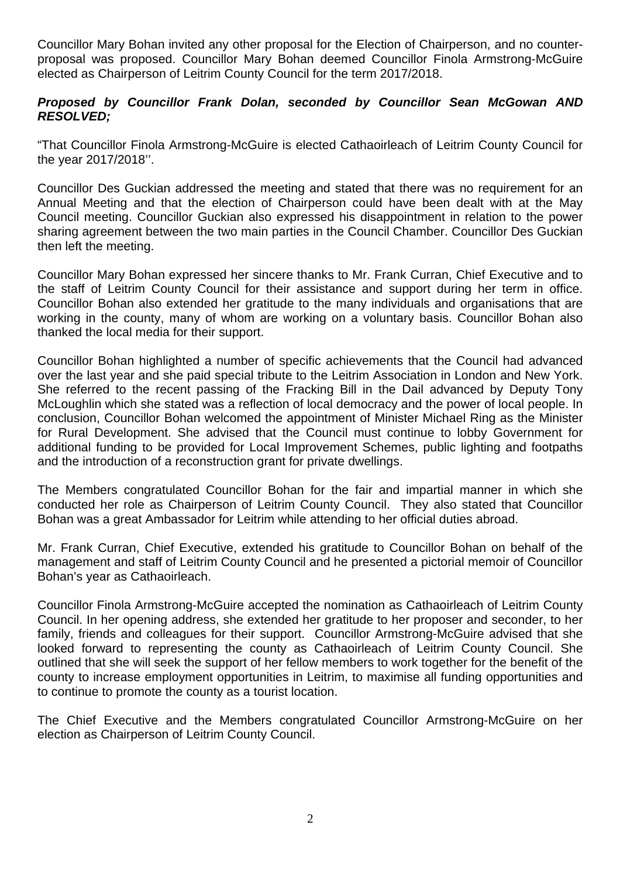Councillor Mary Bohan invited any other proposal for the Election of Chairperson, and no counterproposal was proposed. Councillor Mary Bohan deemed Councillor Finola Armstrong-McGuire elected as Chairperson of Leitrim County Council for the term 2017/2018.

### *Proposed by Councillor Frank Dolan, seconded by Councillor Sean McGowan AND RESOLVED;*

"That Councillor Finola Armstrong-McGuire is elected Cathaoirleach of Leitrim County Council for the year 2017/2018''.

Councillor Des Guckian addressed the meeting and stated that there was no requirement for an Annual Meeting and that the election of Chairperson could have been dealt with at the May Council meeting. Councillor Guckian also expressed his disappointment in relation to the power sharing agreement between the two main parties in the Council Chamber. Councillor Des Guckian then left the meeting.

Councillor Mary Bohan expressed her sincere thanks to Mr. Frank Curran, Chief Executive and to the staff of Leitrim County Council for their assistance and support during her term in office. Councillor Bohan also extended her gratitude to the many individuals and organisations that are working in the county, many of whom are working on a voluntary basis. Councillor Bohan also thanked the local media for their support.

Councillor Bohan highlighted a number of specific achievements that the Council had advanced over the last year and she paid special tribute to the Leitrim Association in London and New York. She referred to the recent passing of the Fracking Bill in the Dail advanced by Deputy Tony McLoughlin which she stated was a reflection of local democracy and the power of local people. In conclusion, Councillor Bohan welcomed the appointment of Minister Michael Ring as the Minister for Rural Development. She advised that the Council must continue to lobby Government for additional funding to be provided for Local Improvement Schemes, public lighting and footpaths and the introduction of a reconstruction grant for private dwellings.

The Members congratulated Councillor Bohan for the fair and impartial manner in which she conducted her role as Chairperson of Leitrim County Council. They also stated that Councillor Bohan was a great Ambassador for Leitrim while attending to her official duties abroad.

Mr. Frank Curran, Chief Executive, extended his gratitude to Councillor Bohan on behalf of the management and staff of Leitrim County Council and he presented a pictorial memoir of Councillor Bohan's year as Cathaoirleach.

Councillor Finola Armstrong-McGuire accepted the nomination as Cathaoirleach of Leitrim County Council. In her opening address, she extended her gratitude to her proposer and seconder, to her family, friends and colleagues for their support. Councillor Armstrong-McGuire advised that she looked forward to representing the county as Cathaoirleach of Leitrim County Council. She outlined that she will seek the support of her fellow members to work together for the benefit of the county to increase employment opportunities in Leitrim, to maximise all funding opportunities and to continue to promote the county as a tourist location.

The Chief Executive and the Members congratulated Councillor Armstrong-McGuire on her election as Chairperson of Leitrim County Council.